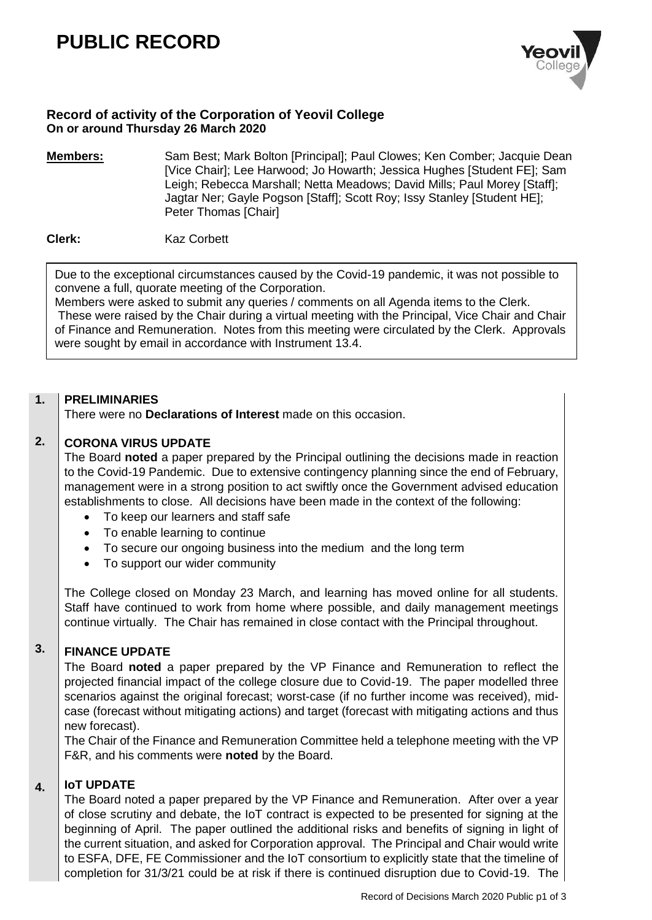# **PUBLIC RECORD**



# **Record of activity of the Corporation of Yeovil College On or around Thursday 26 March 2020**

**Members:** Sam Best; Mark Bolton [Principal]; Paul Clowes; Ken Comber; Jacquie Dean [Vice Chair]; Lee Harwood; Jo Howarth; Jessica Hughes [Student FE]; Sam Leigh; Rebecca Marshall; Netta Meadows; David Mills; Paul Morey [Staff]; Jagtar Ner; Gayle Pogson [Staff]; Scott Roy; Issy Stanley [Student HE]; Peter Thomas [Chair]

**Clerk:** Kaz Corbett

Due to the exceptional circumstances caused by the Covid-19 pandemic, it was not possible to convene a full, quorate meeting of the Corporation.

Members were asked to submit any queries / comments on all Agenda items to the Clerk. These were raised by the Chair during a virtual meeting with the Principal, Vice Chair and Chair of Finance and Remuneration. Notes from this meeting were circulated by the Clerk. Approvals were sought by email in accordance with Instrument 13.4.

#### **1. PRELIMINARIES**

There were no **Declarations of Interest** made on this occasion.

### **2. CORONA VIRUS UPDATE**

The Board **noted** a paper prepared by the Principal outlining the decisions made in reaction to the Covid-19 Pandemic. Due to extensive contingency planning since the end of February, management were in a strong position to act swiftly once the Government advised education establishments to close. All decisions have been made in the context of the following:

- To keep our learners and staff safe
- To enable learning to continue
- To secure our ongoing business into the medium and the long term
- To support our wider community

The College closed on Monday 23 March, and learning has moved online for all students. Staff have continued to work from home where possible, and daily management meetings continue virtually. The Chair has remained in close contact with the Principal throughout.

## **3. FINANCE UPDATE**

The Board **noted** a paper prepared by the VP Finance and Remuneration to reflect the projected financial impact of the college closure due to Covid-19. The paper modelled three scenarios against the original forecast; worst-case (if no further income was received), midcase (forecast without mitigating actions) and target (forecast with mitigating actions and thus new forecast).

The Chair of the Finance and Remuneration Committee held a telephone meeting with the VP F&R, and his comments were **noted** by the Board.

#### **4. IoT UPDATE**

The Board noted a paper prepared by the VP Finance and Remuneration. After over a year of close scrutiny and debate, the IoT contract is expected to be presented for signing at the beginning of April. The paper outlined the additional risks and benefits of signing in light of the current situation, and asked for Corporation approval. The Principal and Chair would write to ESFA, DFE, FE Commissioner and the IoT consortium to explicitly state that the timeline of completion for 31/3/21 could be at risk if there is continued disruption due to Covid-19. The